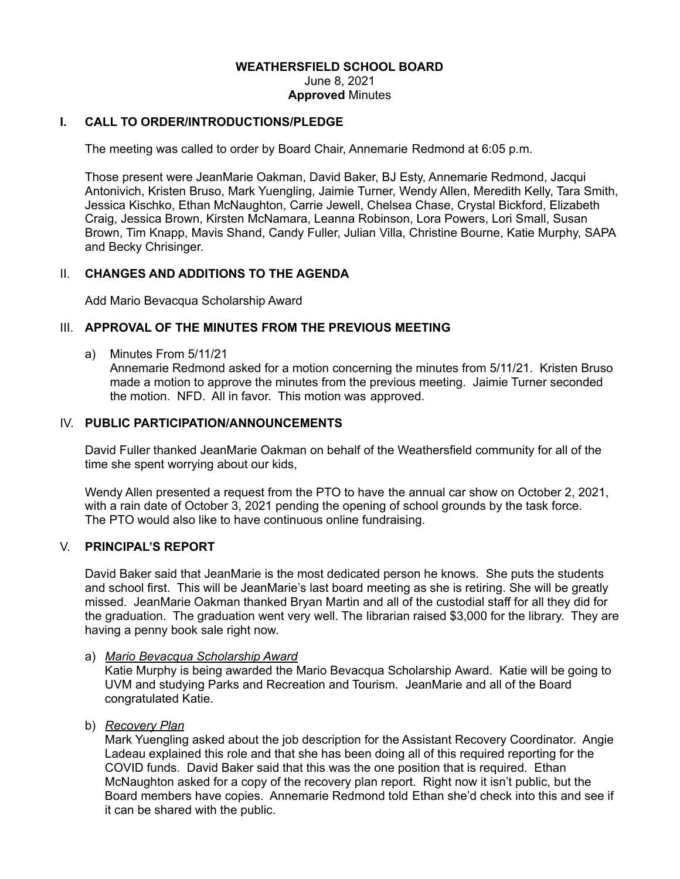#### **WEATHERSFIELD SCHOOL BOARD** June 8, 2021 **Approved** Minutes

# **I. CALL TO ORDER/INTRODUCTIONS/PLEDGE**

The meeting was called to order by Board Chair, Annemarie Redmond at 6:05 p.m.

Those present were JeanMarie Oakman, David Baker, BJ Esty, Annemarie Redmond, Jacqui Antonivich, Kristen Bruso, Mark Yuengling, Jaimie Turner, Wendy Allen, Meredith Kelly, Tara Smith, Jessica Kischko, Ethan McNaughton, Carrie Jewell, Chelsea Chase, Crystal Bickford, Elizabeth Craig, Jessica Brown, Kirsten McNamara, Leanna Robinson, Lora Powers, Lori Small, Susan Brown, Tim Knapp, Mavis Shand, Candy Fuller, Julian Villa, Christine Bourne, Katie Murphy, SAPA and Becky Chrisinger.

## II. **CHANGES AND ADDITIONS TO THE AGENDA**

Add Mario Bevacqua Scholarship Award

### III. **APPROVAL OF THE MINUTES FROM THE PREVIOUS MEETING**

a) Minutes From 5/11/21

Annemarie Redmond asked for a motion concerning the minutes from 5/11/21. Kristen Bruso made a motion to approve the minutes from the previous meeting. Jaimie Turner seconded the motion. NFD. All in favor. This motion was approved.

## IV. **PUBLIC PARTICIPATION/ANNOUNCEMENTS**

David Fuller thanked JeanMarie Oakman on behalf of the Weathersfield community for all of the time she spent worrying about our kids,

Wendy Allen presented a request from the PTO to have the annual car show on October 2, 2021, with a rain date of October 3, 2021 pending the opening of school grounds by the task force. The PTO would also like to have continuous online fundraising.

### V. **PRINCIPAL'S REPORT**

David Baker said that JeanMarie is the most dedicated person he knows. She puts the students and school first. This will be JeanMarie's last board meeting as she is retiring. She will be greatly missed. JeanMarie Oakman thanked Bryan Martin and all of the custodial staff for all they did for the graduation. The graduation went very well. The librarian raised \$3,000 for the library. They are having a penny book sale right now.

#### a) *Mario Bevacqua Scholarship Award*

Katie Murphy is being awarded the Mario Bevacqua Scholarship Award. Katie will be going to UVM and studying Parks and Recreation and Tourism. JeanMarie and all of the Board congratulated Katie.

b) *Recovery Plan*

Mark Yuengling asked about the job description for the Assistant Recovery Coordinator. Angie Ladeau explained this role and that she has been doing all of this required reporting for the COVID funds. David Baker said that this was the one position that is required. Ethan McNaughton asked for a copy of the recovery plan report. Right now it isn't public, but the Board members have copies. Annemarie Redmond told Ethan she'd check into this and see if it can be shared with the public.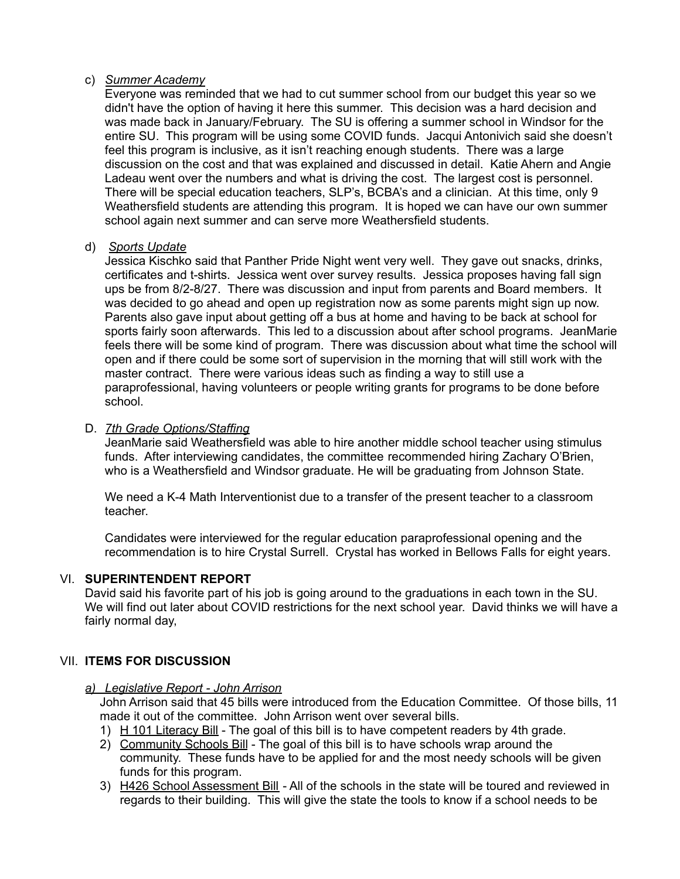### c) *Summer Academy*

Everyone was reminded that we had to cut summer school from our budget this year so we didn't have the option of having it here this summer. This decision was a hard decision and was made back in January/February. The SU is offering a summer school in Windsor for the entire SU. This program will be using some COVID funds. Jacqui Antonivich said she doesn't feel this program is inclusive, as it isn't reaching enough students. There was a large discussion on the cost and that was explained and discussed in detail. Katie Ahern and Angie Ladeau went over the numbers and what is driving the cost. The largest cost is personnel. There will be special education teachers, SLP's, BCBA's and a clinician. At this time, only 9 Weathersfield students are attending this program. It is hoped we can have our own summer school again next summer and can serve more Weathersfield students.

### d) *Sports Update*

Jessica Kischko said that Panther Pride Night went very well. They gave out snacks, drinks, certificates and t-shirts. Jessica went over survey results. Jessica proposes having fall sign ups be from 8/2-8/27. There was discussion and input from parents and Board members. It was decided to go ahead and open up registration now as some parents might sign up now. Parents also gave input about getting off a bus at home and having to be back at school for sports fairly soon afterwards. This led to a discussion about after school programs. JeanMarie feels there will be some kind of program. There was discussion about what time the school will open and if there could be some sort of supervision in the morning that will still work with the master contract. There were various ideas such as finding a way to still use a paraprofessional, having volunteers or people writing grants for programs to be done before school.

## D. *7th Grade Options/Staffing*

JeanMarie said Weathersfield was able to hire another middle school teacher using stimulus funds. After interviewing candidates, the committee recommended hiring Zachary O'Brien, who is a Weathersfield and Windsor graduate. He will be graduating from Johnson State.

We need a K-4 Math Interventionist due to a transfer of the present teacher to a classroom teacher.

Candidates were interviewed for the regular education paraprofessional opening and the recommendation is to hire Crystal Surrell. Crystal has worked in Bellows Falls for eight years.

## VI. **SUPERINTENDENT REPORT**

David said his favorite part of his job is going around to the graduations in each town in the SU. We will find out later about COVID restrictions for the next school year. David thinks we will have a fairly normal day,

## VII. **ITEMS FOR DISCUSSION**

#### *a) Legislative Report - John Arrison*

John Arrison said that 45 bills were introduced from the Education Committee. Of those bills, 11 made it out of the committee. John Arrison went over several bills.

- 1) H 101 Literacy Bill The goal of this bill is to have competent readers by 4th grade.
- 2) Community Schools Bill The goal of this bill is to have schools wrap around the community. These funds have to be applied for and the most needy schools will be given funds for this program.
- 3) H426 School Assessment Bill All of the schools in the state will be toured and reviewed in regards to their building. This will give the state the tools to know if a school needs to be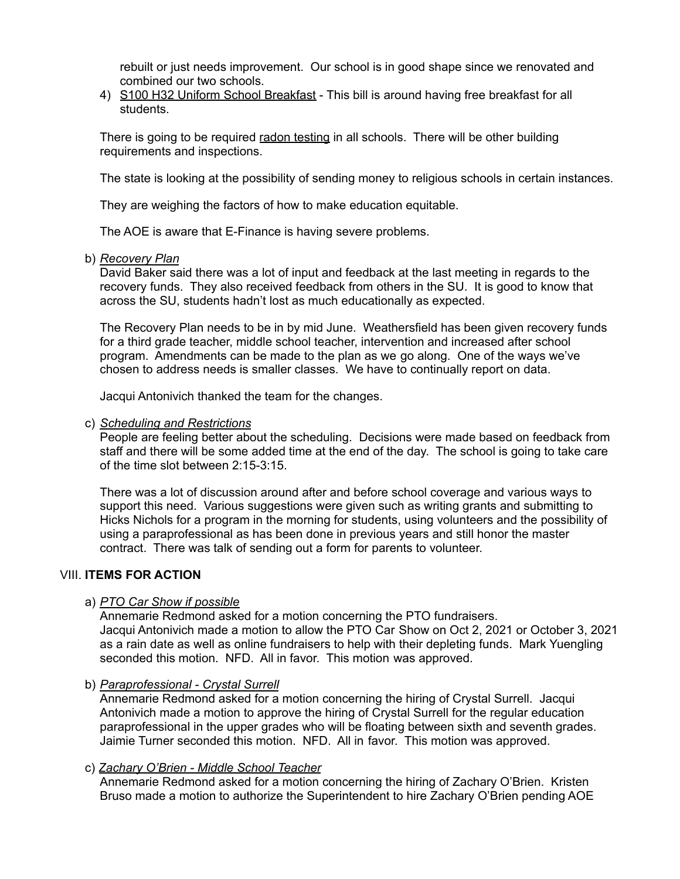rebuilt or just needs improvement. Our school is in good shape since we renovated and combined our two schools.

4) S100 H32 Uniform School Breakfast - This bill is around having free breakfast for all students.

There is going to be required radon testing in all schools. There will be other building requirements and inspections.

The state is looking at the possibility of sending money to religious schools in certain instances.

They are weighing the factors of how to make education equitable.

The AOE is aware that E-Finance is having severe problems.

b) *Recovery Plan*

David Baker said there was a lot of input and feedback at the last meeting in regards to the recovery funds. They also received feedback from others in the SU. It is good to know that across the SU, students hadn't lost as much educationally as expected.

The Recovery Plan needs to be in by mid June. Weathersfield has been given recovery funds for a third grade teacher, middle school teacher, intervention and increased after school program. Amendments can be made to the plan as we go along. One of the ways we've chosen to address needs is smaller classes. We have to continually report on data.

Jacqui Antonivich thanked the team for the changes.

#### c) *Scheduling and Restrictions*

People are feeling better about the scheduling. Decisions were made based on feedback from staff and there will be some added time at the end of the day. The school is going to take care of the time slot between 2:15-3:15.

There was a lot of discussion around after and before school coverage and various ways to support this need. Various suggestions were given such as writing grants and submitting to Hicks Nichols for a program in the morning for students, using volunteers and the possibility of using a paraprofessional as has been done in previous years and still honor the master contract. There was talk of sending out a form for parents to volunteer.

## VIII. **ITEMS FOR ACTION**

#### a) *PTO Car Show if possible*

Annemarie Redmond asked for a motion concerning the PTO fundraisers. Jacqui Antonivich made a motion to allow the PTO Car Show on Oct 2, 2021 or October 3, 2021 as a rain date as well as online fundraisers to help with their depleting funds. Mark Yuengling seconded this motion. NFD. All in favor. This motion was approved.

## b) *Paraprofessional - Crystal Surrell*

Annemarie Redmond asked for a motion concerning the hiring of Crystal Surrell. Jacqui Antonivich made a motion to approve the hiring of Crystal Surrell for the regular education paraprofessional in the upper grades who will be floating between sixth and seventh grades. Jaimie Turner seconded this motion. NFD. All in favor. This motion was approved.

#### c) *Zachary O'Brien - Middle School Teacher*

Annemarie Redmond asked for a motion concerning the hiring of Zachary O'Brien. Kristen Bruso made a motion to authorize the Superintendent to hire Zachary O'Brien pending AOE